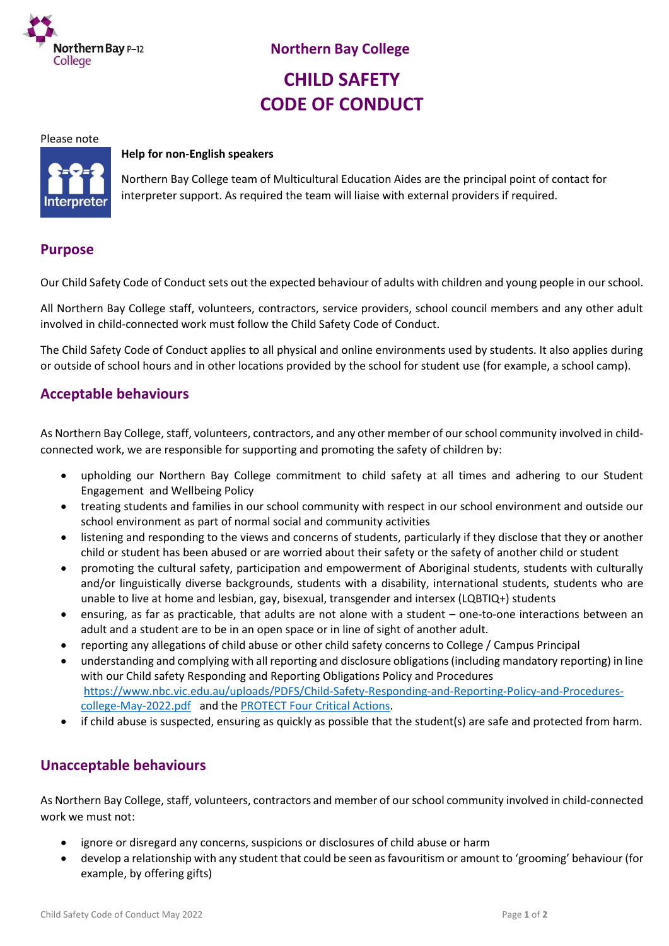

# **CHILD SAFETY CODE OF CONDUCT**

#### Please note



#### **Help for non-English speakers**

Northern Bay College team of Multicultural Education Aides are the principal point of contact for interpreter support. As required the team will liaise with external providers if required.

#### **Purpose**

Our Child Safety Code of Conduct sets out the expected behaviour of adults with children and young people in our school.

All Northern Bay College staff, volunteers, contractors, service providers, school council members and any other adult involved in child-connected work must follow the Child Safety Code of Conduct.

The Child Safety Code of Conduct applies to all physical and online environments used by students. It also applies during or outside of school hours and in other locations provided by the school for student use (for example, a school camp).

## **Acceptable behaviours**

As Northern Bay College, staff, volunteers, contractors, and any other member of our school community involved in childconnected work, we are responsible for supporting and promoting the safety of children by:

- upholding our Northern Bay College commitment to child safety at all times and adhering to our Student Engagement and Wellbeing Policy
- treating students and families in our school community with respect in our school environment and outside our school environment as part of normal social and community activities
- listening and responding to the views and concerns of students, particularly if they disclose that they or another child or student has been abused or are worried about their safety or the safety of another child or student
- promoting the cultural safety, participation and empowerment of Aboriginal students, students with culturally and/or linguistically diverse backgrounds, students with a disability, international students, students who are unable to live at home and lesbian, gay, bisexual, transgender and intersex (LQBTIQ+) students
- ensuring, as far as practicable, that adults are not alone with a student one-to-one interactions between an adult and a student are to be in an open space or in line of sight of another adult.
- reporting any allegations of child abuse or other child safety concerns to College / Campus Principal
- understanding and complying with all reporting and disclosure obligations (including mandatory reporting) in line with our Child safety Responding and Reporting Obligations Policy and Procedures [https://www.nbc.vic.edu.au/uploads/PDFS/Child-Safety-Responding-and-Reporting-Policy-and-Procedures](https://www.nbc.vic.edu.au/uploads/PDFS/Child-Safety-Responding-and-Reporting-Policy-and-Procedures-college-May-2022.pdf)[college-May-2022.pdf](https://www.nbc.vic.edu.au/uploads/PDFS/Child-Safety-Responding-and-Reporting-Policy-and-Procedures-college-May-2022.pdf) and the [PROTECT Four Critical Actions.](https://www.education.vic.gov.au/Documents/about/programs/health/protect/FourCriticalActions_ChildAbuse.pdf)
- if child abuse is suspected, ensuring as quickly as possible that the student(s) are safe and protected from harm.

### **Unacceptable behaviours**

As Northern Bay College, staff, volunteers, contractors and member of our school community involved in child-connected work we must not:

- ignore or disregard any concerns, suspicions or disclosures of child abuse or harm
- develop a relationship with any student that could be seen as favouritism or amount to 'grooming' behaviour (for example, by offering gifts)